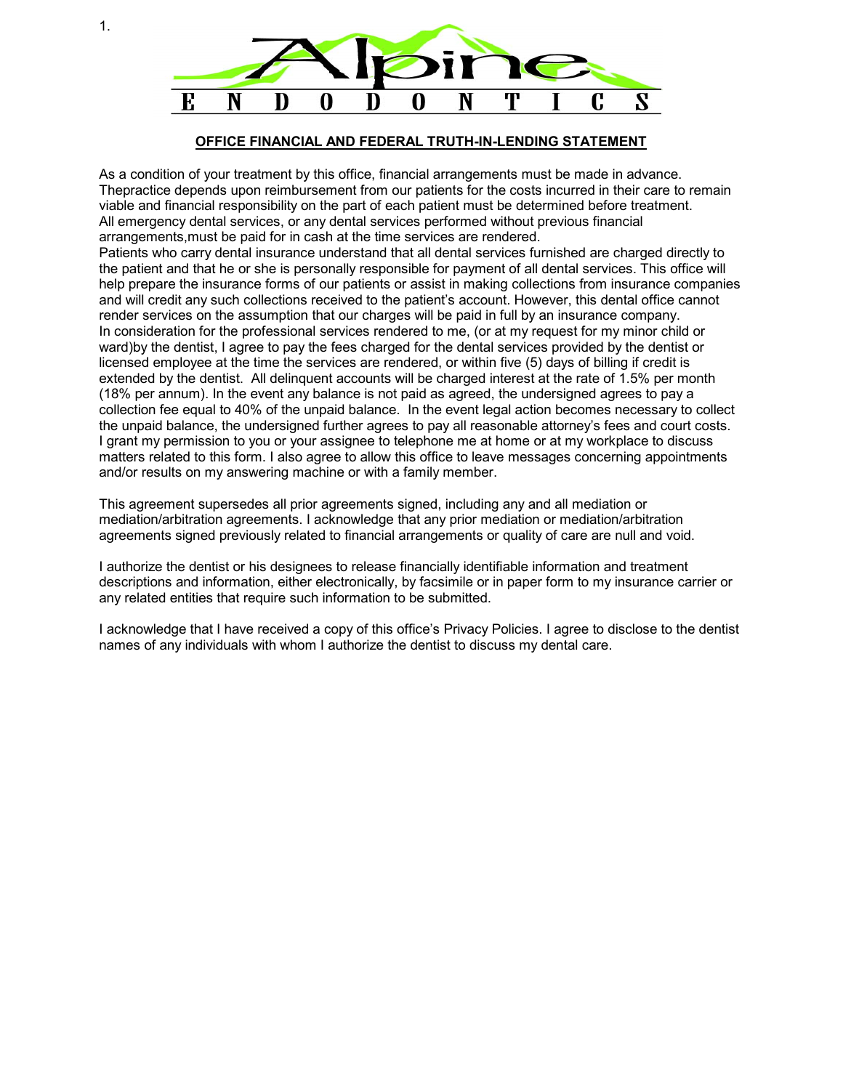

## **OFFICE FINANCIAL AND FEDERAL TRUTH-IN-LENDING STATEMENT**

As a condition of your treatment by this office, financial arrangements must be made in advance. Thepractice depends upon reimbursement from our patients for the costs incurred in their care to remain viable and financial responsibility on the part of each patient must be determined before treatment. All emergency dental services, or any dental services performed without previous financial arrangements,must be paid for in cash at the time services are rendered.

Patients who carry dental insurance understand that all dental services furnished are charged directly to the patient and that he or she is personally responsible for payment of all dental services. This office will help prepare the insurance forms of our patients or assist in making collections from insurance companies and will credit any such collections received to the patient's account. However, this dental office cannot render services on the assumption that our charges will be paid in full by an insurance company. In consideration for the professional services rendered to me, (or at my request for my minor child or ward)by the dentist, I agree to pay the fees charged for the dental services provided by the dentist or licensed employee at the time the services are rendered, or within five (5) days of billing if credit is extended by the dentist. All delinquent accounts will be charged interest at the rate of 1.5% per month (18% per annum). In the event any balance is not paid as agreed, the undersigned agrees to pay a collection fee equal to 40% of the unpaid balance. In the event legal action becomes necessary to collect the unpaid balance, the undersigned further agrees to pay all reasonable attorney's fees and court costs. I grant my permission to you or your assignee to telephone me at home or at my workplace to discuss matters related to this form. I also agree to allow this office to leave messages concerning appointments and/or results on my answering machine or with a family member.

This agreement supersedes all prior agreements signed, including any and all mediation or mediation/arbitration agreements. I acknowledge that any prior mediation or mediation/arbitration agreements signed previously related to financial arrangements or quality of care are null and void.

I authorize the dentist or his designees to release financially identifiable information and treatment descriptions and information, either electronically, by facsimile or in paper form to my insurance carrier or any related entities that require such information to be submitted.

I acknowledge that I have received a copy of this office's Privacy Policies. I agree to disclose to the dentist names of any individuals with whom I authorize the dentist to discuss my dental care.